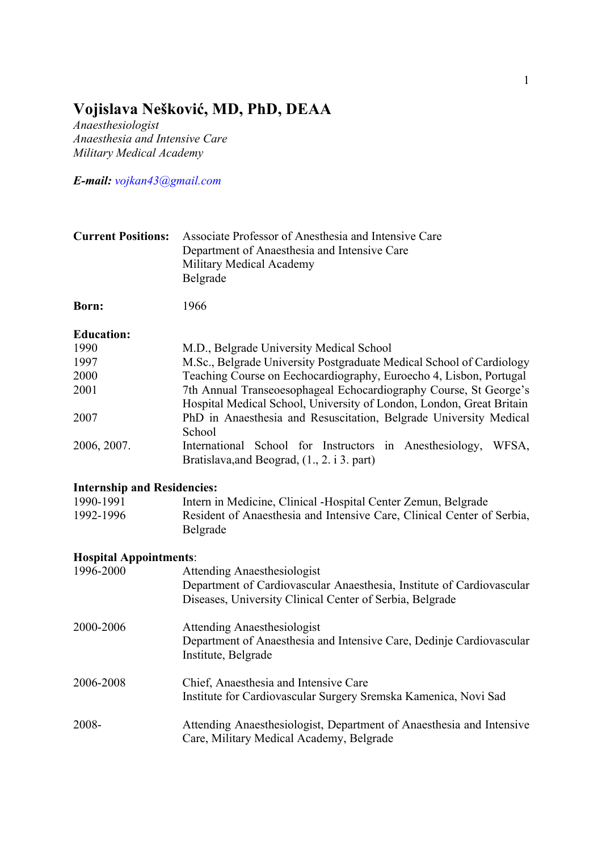# **Vojislava Nešković, MD, PhD, DEAA**

*Anaesthesiologist Anaesthesia and Intensive Care Military Medical Academy*

*E-mail: vojkan43@gmail.com*

| <b>Current Positions:</b> Associate Professor of Anesthesia and Intensive Care |
|--------------------------------------------------------------------------------|
| Department of Anaesthesia and Intensive Care                                   |
| Military Medical Academy                                                       |
| Belgrade                                                                       |

**Born:** 1966

### **Education:**

| 1990        | M.D., Belgrade University Medical School                             |
|-------------|----------------------------------------------------------------------|
| 1997        | M.Sc., Belgrade University Postgraduate Medical School of Cardiology |
| 2000        | Teaching Course on Eechocardiography, Euroecho 4, Lisbon, Portugal   |
| 2001        | 7th Annual Transeoesophageal Echocardiography Course, St George's    |
|             | Hospital Medical School, University of London, London, Great Britain |
| 2007        | PhD in Anaesthesia and Resuscitation, Belgrade University Medical    |
|             | School                                                               |
| 2006, 2007. | International School for Instructors in Anesthesiology,<br>WFSA.     |
|             | Bratislava, and Beograd, (1., 2. i 3. part)                          |

## **Internship and Residencies:**

| 1990-1991 | Intern in Medicine, Clinical - Hospital Center Zemun, Belgrade         |
|-----------|------------------------------------------------------------------------|
| 1992-1996 | Resident of Anaesthesia and Intensive Care, Clinical Center of Serbia, |
|           | Belgrade                                                               |

### **Hospital Appointments**:

| 1996-2000 | <b>Attending Anaesthesiologist</b><br>Department of Cardiovascular Anaesthesia, Institute of Cardiovascular<br>Diseases, University Clinical Center of Serbia, Belgrade |
|-----------|-------------------------------------------------------------------------------------------------------------------------------------------------------------------------|
| 2000-2006 | <b>Attending Anaesthesiologist</b><br>Department of Anaesthesia and Intensive Care, Dedinje Cardiovascular<br>Institute, Belgrade                                       |
| 2006-2008 | Chief, Anaesthesia and Intensive Care<br>Institute for Cardiovascular Surgery Sremska Kamenica, Novi Sad                                                                |
| 2008-     | Attending Anaesthesiologist, Department of Anaesthesia and Intensive<br>Care, Military Medical Academy, Belgrade                                                        |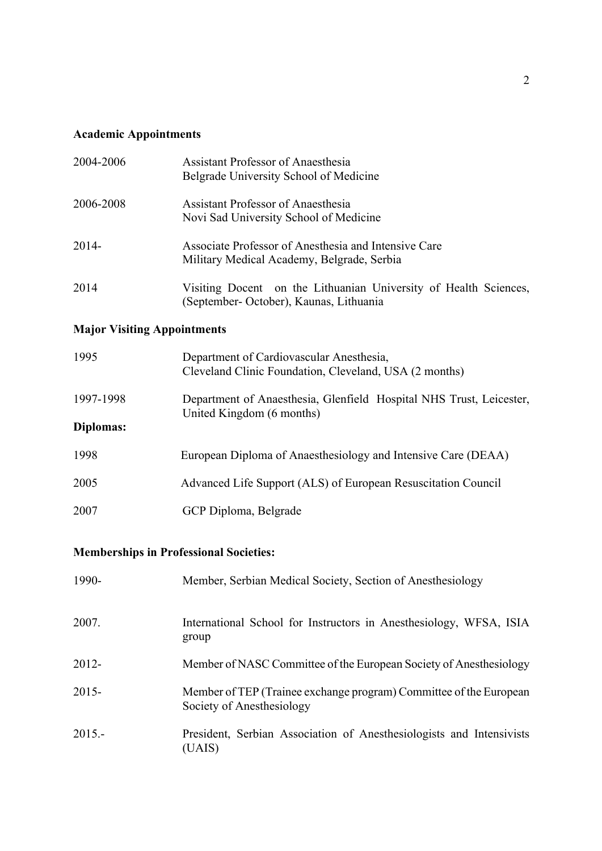# **Academic Appointments**

| 2004-2006                          | <b>Assistant Professor of Anaesthesia</b><br>Belgrade University School of Medicine                         |
|------------------------------------|-------------------------------------------------------------------------------------------------------------|
| 2006-2008                          | <b>Assistant Professor of Anaesthesia</b><br>Novi Sad University School of Medicine                         |
| $2014 -$                           | Associate Professor of Anesthesia and Intensive Care<br>Military Medical Academy, Belgrade, Serbia          |
| 2014                               | Visiting Docent on the Lithuanian University of Health Sciences,<br>(September- October), Kaunas, Lithuania |
| <b>Major Visiting Appointments</b> |                                                                                                             |
| 1995                               | Department of Cardiovascular Anesthesia,<br>Cleveland Clinic Foundation, Cleveland, USA (2 months)          |
| 1997-1998                          | Department of Anaesthesia, Glenfield Hospital NHS Trust, Leicester,<br>United Kingdom (6 months)            |
| Diplomas:                          |                                                                                                             |
| 1998                               | European Diploma of Anaesthesiology and Intensive Care (DEAA)                                               |
| 2005                               | Advanced Life Support (ALS) of European Resuscitation Council                                               |
| 2007                               | GCP Diploma, Belgrade                                                                                       |

# **Memberships in Professional Societies:**

| 1990-    | Member, Serbian Medical Society, Section of Anesthesiology                                      |
|----------|-------------------------------------------------------------------------------------------------|
| 2007.    | International School for Instructors in Anesthesiology, WFSA, ISIA<br>group                     |
| $2012 -$ | Member of NASC Committee of the European Society of Anesthesiology                              |
| $2015 -$ | Member of TEP (Trainee exchange program) Committee of the European<br>Society of Anesthesiology |
| $2015 -$ | President, Serbian Association of Anesthesiologists and Intensivists<br>(UAIS)                  |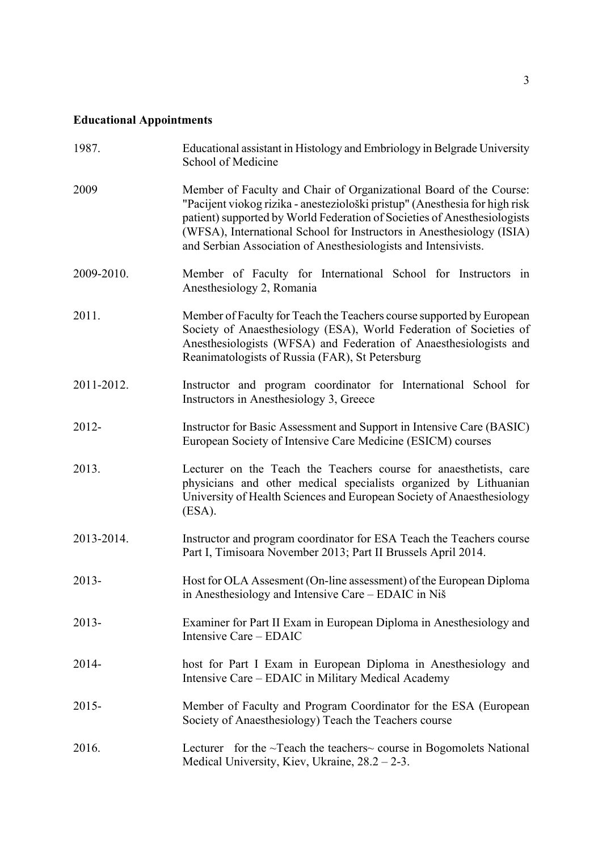# **Educational Appointments**

| 1987.      | Educational assistant in Histology and Embriology in Belgrade University<br>School of Medicine                                                                                                                                                                                                                                                                           |
|------------|--------------------------------------------------------------------------------------------------------------------------------------------------------------------------------------------------------------------------------------------------------------------------------------------------------------------------------------------------------------------------|
| 2009       | Member of Faculty and Chair of Organizational Board of the Course:<br>"Pacijent viokog rizika - anesteziološki pristup" (Anesthesia for high risk<br>patient) supported by World Federation of Societies of Anesthesiologists<br>(WFSA), International School for Instructors in Anesthesiology (ISIA)<br>and Serbian Association of Anesthesiologists and Intensivists. |
| 2009-2010. | Member of Faculty for International School for Instructors in<br>Anesthesiology 2, Romania                                                                                                                                                                                                                                                                               |
| 2011.      | Member of Faculty for Teach the Teachers course supported by European<br>Society of Anaesthesiology (ESA), World Federation of Societies of<br>Anesthesiologists (WFSA) and Federation of Anaesthesiologists and<br>Reanimatologists of Russia (FAR), St Petersburg                                                                                                      |
| 2011-2012. | Instructor and program coordinator for International School for<br>Instructors in Anesthesiology 3, Greece                                                                                                                                                                                                                                                               |
| 2012-      | Instructor for Basic Assessment and Support in Intensive Care (BASIC)<br>European Society of Intensive Care Medicine (ESICM) courses                                                                                                                                                                                                                                     |
| 2013.      | Lecturer on the Teach the Teachers course for anaesthetists, care<br>physicians and other medical specialists organized by Lithuanian<br>University of Health Sciences and European Society of Anaesthesiology<br>(ESA).                                                                                                                                                 |
| 2013-2014. | Instructor and program coordinator for ESA Teach the Teachers course<br>Part I, Timisoara November 2013; Part II Brussels April 2014.                                                                                                                                                                                                                                    |
| 2013-      | Host for OLA Assesment (On-line assessment) of the European Diploma<br>in Anesthesiology and Intensive Care - EDAIC in Niš                                                                                                                                                                                                                                               |
| $2013 -$   | Examiner for Part II Exam in European Diploma in Anesthesiology and<br>Intensive Care – EDAIC                                                                                                                                                                                                                                                                            |
| 2014-      | host for Part I Exam in European Diploma in Anesthesiology and<br>Intensive Care - EDAIC in Military Medical Academy                                                                                                                                                                                                                                                     |
| $2015 -$   | Member of Faculty and Program Coordinator for the ESA (European<br>Society of Anaesthesiology) Teach the Teachers course                                                                                                                                                                                                                                                 |
| 2016.      | Lecturer for the $\sim$ Teach the teachers $\sim$ course in Bogomolets National<br>Medical University, Kiev, Ukraine, $28.2 - 2 - 3$ .                                                                                                                                                                                                                                   |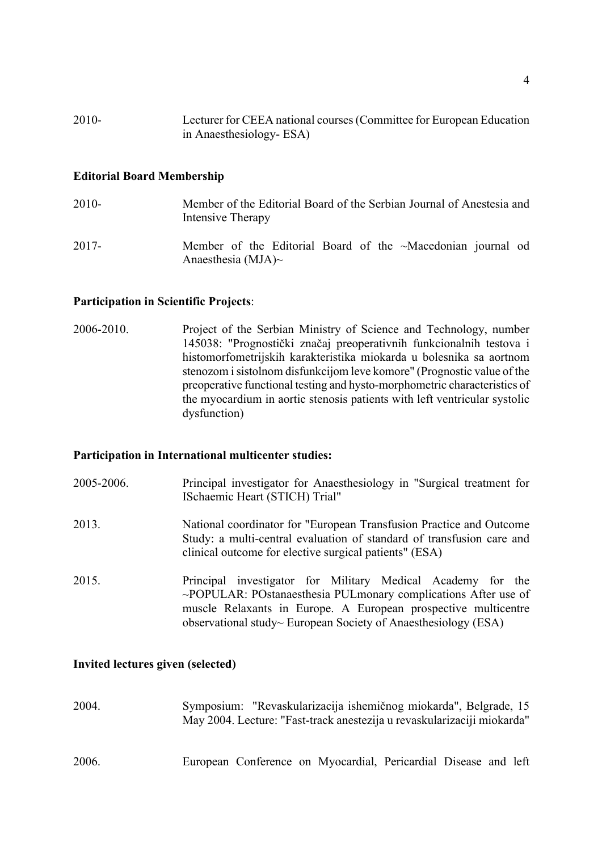| 2010- | Lecturer for CEEA national courses (Committee for European Education |
|-------|----------------------------------------------------------------------|
|       | in Anaesthesiology-ESA)                                              |

#### **Editorial Board Membership**

- 2010- Member of the Editorial Board of the Serbian Journal of Anestesia and Intensive Therapy
- 2017- Member of the Editorial Board of the ~Macedonian journal od Anaesthesia (MJA)~

#### **Participation in Scientific Projects**:

2006-2010. Project of the Serbian Ministry of Science and Technology, number 145038: "Prognostički značaj preoperativnih funkcionalnih testova i histomorfometrijskih karakteristika miokarda u bolesnika sa aortnom stenozom i sistolnom disfunkcijom leve komore" (Prognostic value of the preoperative functional testing and hysto-morphometric characteristics of the myocardium in aortic stenosis patients with left ventricular systolic dysfunction)

#### **Participation in International multicenter studies:**

- 2005-2006. Principal investigator for Anaesthesiology in "Surgical treatment for ISchaemic Heart (STICH) Trial"
- 2013. National coordinator for "European Transfusion Practice and Outcome Study: a multi-central evaluation of standard of transfusion care and clinical outcome for elective surgical patients" (ESA)
- 2015. Principal investigator for Military Medical Academy for the ~POPULAR: POstanaesthesia PULmonary complications After use of muscle Relaxants in Europe. A European prospective multicentre observational study~ European Society of Anaesthesiology (ESA)

#### **Invited lectures given (selected)**

2004. Symposium: "Revaskularizacija ishemičnog miokarda", Belgrade, 15 May 2004. Lecture: "Fast-track anestezija u revaskularizaciji miokarda" 2006. European Conference on Myocardial, Pericardial Disease and left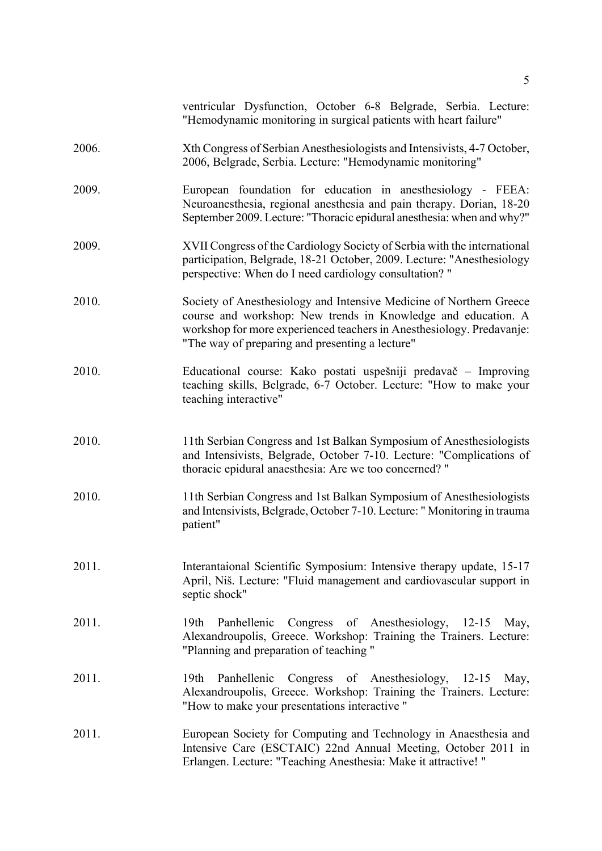|       | ventricular Dysfunction, October 6-8 Belgrade, Serbia. Lecture:<br>"Hemodynamic monitoring in surgical patients with heart failure"                                                                                                                              |
|-------|------------------------------------------------------------------------------------------------------------------------------------------------------------------------------------------------------------------------------------------------------------------|
| 2006. | Xth Congress of Serbian Anesthesiologists and Intensivists, 4-7 October,<br>2006, Belgrade, Serbia. Lecture: "Hemodynamic monitoring"                                                                                                                            |
| 2009. | European foundation for education in anesthesiology - FEEA:<br>Neuroanesthesia, regional anesthesia and pain therapy. Dorian, 18-20<br>September 2009. Lecture: "Thoracic epidural anesthesia: when and why?"                                                    |
| 2009. | XVII Congress of the Cardiology Society of Serbia with the international<br>participation, Belgrade, 18-21 October, 2009. Lecture: "Anesthesiology<br>perspective: When do I need cardiology consultation? "                                                     |
| 2010. | Society of Anesthesiology and Intensive Medicine of Northern Greece<br>course and workshop: New trends in Knowledge and education. A<br>workshop for more experienced teachers in Anesthesiology. Predavanje:<br>"The way of preparing and presenting a lecture" |
| 2010. | Educational course: Kako postati uspešniji predavač – Improving<br>teaching skills, Belgrade, 6-7 October. Lecture: "How to make your<br>teaching interactive"                                                                                                   |
| 2010. | 11th Serbian Congress and 1st Balkan Symposium of Anesthesiologists<br>and Intensivists, Belgrade, October 7-10. Lecture: "Complications of<br>thoracic epidural anaesthesia: Are we too concerned? "                                                            |
| 2010. | 11th Serbian Congress and 1st Balkan Symposium of Anesthesiologists<br>and Intensivists, Belgrade, October 7-10. Lecture: "Monitoring in trauma<br>patient"                                                                                                      |
| 2011. | Interantaional Scientific Symposium: Intensive therapy update, 15-17<br>April, Niš. Lecture: "Fluid management and cardiovascular support in<br>septic shock"                                                                                                    |
| 2011. | Panhellenic Congress of Anesthesiology, 12-15 May,<br>19 <sub>th</sub><br>Alexandroupolis, Greece. Workshop: Training the Trainers. Lecture:<br>"Planning and preparation of teaching"                                                                           |
| 2011. | Panhellenic Congress of Anesthesiology, 12-15<br>19 <sub>th</sub><br>May,<br>Alexandroupolis, Greece. Workshop: Training the Trainers. Lecture:<br>"How to make your presentations interactive"                                                                  |
| 2011. | European Society for Computing and Technology in Anaesthesia and<br>Intensive Care (ESCTAIC) 22nd Annual Meeting, October 2011 in<br>Erlangen. Lecture: "Teaching Anesthesia: Make it attractive!"                                                               |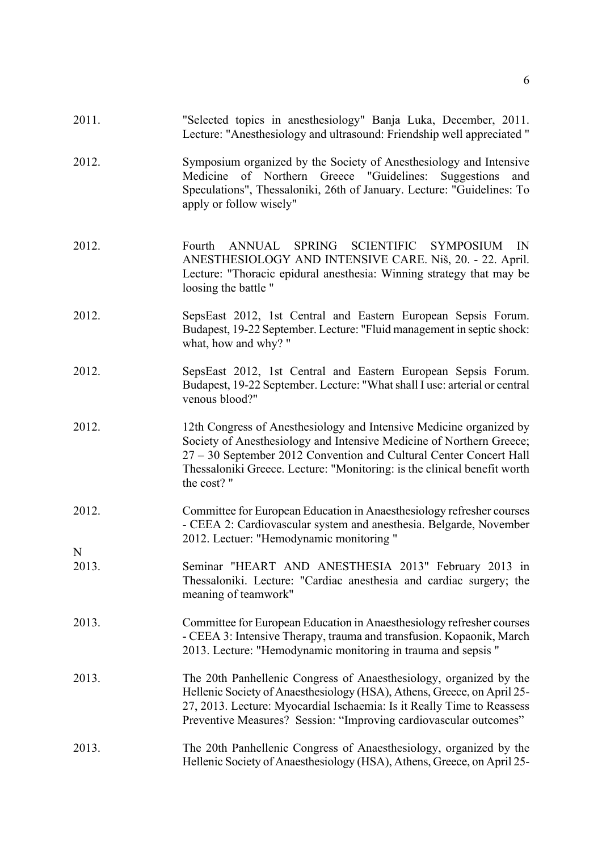| 2011.      | "Selected topics in anesthesiology" Banja Luka, December, 2011.<br>Lecture: "Anesthesiology and ultrasound: Friendship well appreciated "                                                                                                                                                                   |
|------------|-------------------------------------------------------------------------------------------------------------------------------------------------------------------------------------------------------------------------------------------------------------------------------------------------------------|
| 2012.      | Symposium organized by the Society of Anesthesiology and Intensive<br>Medicine of Northern Greece "Guidelines:<br>Suggestions<br>and<br>Speculations", Thessaloniki, 26th of January. Lecture: "Guidelines: To<br>apply or follow wisely"                                                                   |
| 2012.      | SPRING SCIENTIFIC SYMPOSIUM<br><b>ANNUAL</b><br>IN<br>Fourth<br>ANESTHESIOLOGY AND INTENSIVE CARE. Niš, 20. - 22. April.<br>Lecture: "Thoracic epidural anesthesia: Winning strategy that may be<br>loosing the battle "                                                                                    |
| 2012.      | SepsEast 2012, 1st Central and Eastern European Sepsis Forum.<br>Budapest, 19-22 September. Lecture: "Fluid management in septic shock:<br>what, how and why? "                                                                                                                                             |
| 2012.      | SepsEast 2012, 1st Central and Eastern European Sepsis Forum.<br>Budapest, 19-22 September. Lecture: "What shall I use: arterial or central<br>venous blood?"                                                                                                                                               |
| 2012.      | 12th Congress of Anesthesiology and Intensive Medicine organized by<br>Society of Anesthesiology and Intensive Medicine of Northern Greece;<br>27 – 30 September 2012 Convention and Cultural Center Concert Hall<br>Thessaloniki Greece. Lecture: "Monitoring: is the clinical benefit worth<br>the cost?" |
| 2012.      | Committee for European Education in Anaesthesiology refresher courses<br>- CEEA 2: Cardiovascular system and anesthesia. Belgarde, November<br>2012. Lectuer: "Hemodynamic monitoring "                                                                                                                     |
| N<br>2013. | Seminar "HEART AND ANESTHESIA 2013" February 2013 in<br>Thessaloniki. Lecture: "Cardiac anesthesia and cardiac surgery; the<br>meaning of teamwork"                                                                                                                                                         |
| 2013.      | Committee for European Education in Anaesthesiology refresher courses<br>- CEEA 3: Intensive Therapy, trauma and transfusion. Kopaonik, March<br>2013. Lecture: "Hemodynamic monitoring in trauma and sepsis "                                                                                              |
| 2013.      | The 20th Panhellenic Congress of Anaesthesiology, organized by the<br>Hellenic Society of Anaesthesiology (HSA), Athens, Greece, on April 25-<br>27, 2013. Lecture: Myocardial Ischaemia: Is it Really Time to Reassess<br>Preventive Measures? Session: "Improving cardiovascular outcomes"                |
| 2013.      | The 20th Panhellenic Congress of Anaesthesiology, organized by the<br>Hellenic Society of Anaesthesiology (HSA), Athens, Greece, on April 25-                                                                                                                                                               |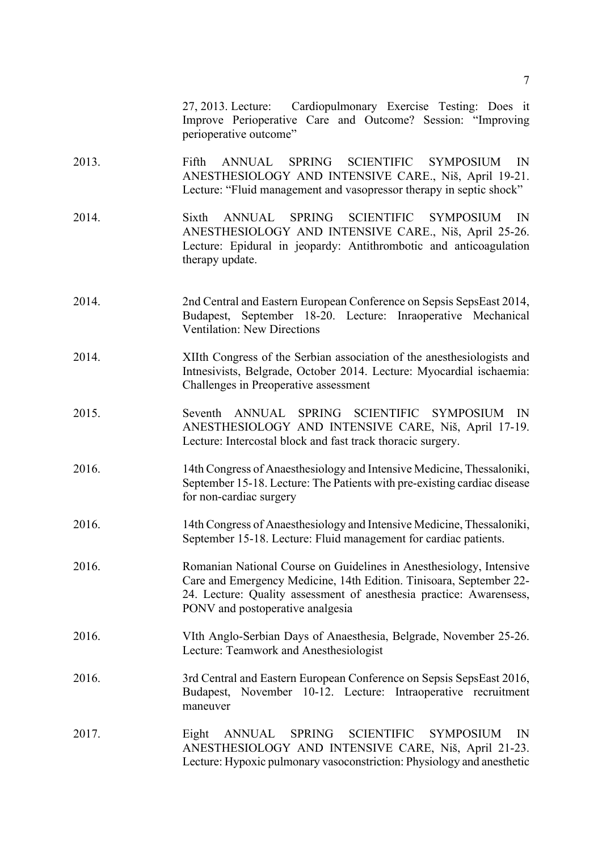27, 2013. Lecture: Cardiopulmonary Exercise Testing: Does it Improve Perioperative Care and Outcome? Session: "Improving perioperative outcome"

- 2013. Fifth ANNUAL SPRING SCIENTIFIC SYMPOSIUM IN ANESTHESIOLOGY AND INTENSIVE CARE., Niš, April 19-21. Lecture: "Fluid management and vasopressor therapy in septic shock"
- 2014. Sixth ANNUAL SPRING SCIENTIFIC SYMPOSIUM IN ANESTHESIOLOGY AND INTENSIVE CARE., Niš, April 25-26. Lecture: Epidural in jeopardy: Antithrombotic and anticoagulation therapy update.
- 2014. 2nd Central and Eastern European Conference on Sepsis SepsEast 2014, Budapest, September 18-20. Lecture: Inraoperative Mechanical Ventilation: New Directions
- 2014. XIIth Congress of the Serbian association of the anesthesiologists and Intnesivists, Belgrade, October 2014. Lecture: Myocardial ischaemia: Challenges in Preoperative assessment
- 2015. Seventh ANNUAL SPRING SCIENTIFIC SYMPOSIUM IN ANESTHESIOLOGY AND INTENSIVE CARE, Niš, April 17-19. Lecture: Intercostal block and fast track thoracic surgery.
- 2016. 14th Congress of Anaesthesiology and Intensive Medicine, Thessaloniki, September 15-18. Lecture: The Patients with pre-existing cardiac disease for non-cardiac surgery
- 2016. 14th Congress of Anaesthesiology and Intensive Medicine, Thessaloniki, September 15-18. Lecture: Fluid management for cardiac patients.
- 2016. Romanian National Course on Guidelines in Anesthesiology, Intensive Care and Emergency Medicine, 14th Edition. Tinisoara, September 22- 24. Lecture: Quality assessment of anesthesia practice: Awarensess, PONV and postoperative analgesia
- 2016. VIth Anglo-Serbian Days of Anaesthesia, Belgrade, November 25-26. Lecture: Teamwork and Anesthesiologist
- 2016. 3rd Central and Eastern European Conference on Sepsis SepsEast 2016, Budapest, November 10-12. Lecture: Intraoperative recruitment maneuver
- 2017. Eight ANNUAL SPRING SCIENTIFIC SYMPOSIUM IN ANESTHESIOLOGY AND INTENSIVE CARE, Niš, April 21-23. Lecture: Hypoxic pulmonary vasoconstriction: Physiology and anesthetic